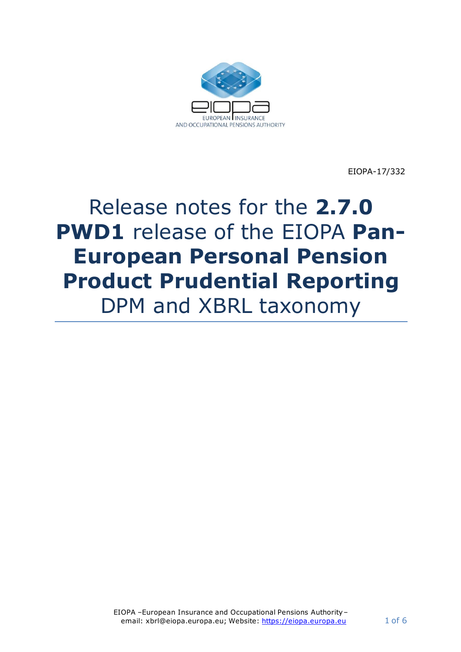

EIOPA-17/332

# Release notes for the **2.7.0 PWD1** release of the EIOPA **Pan-European Personal Pension Product Prudential Reporting**  DPM and XBRL taxonomy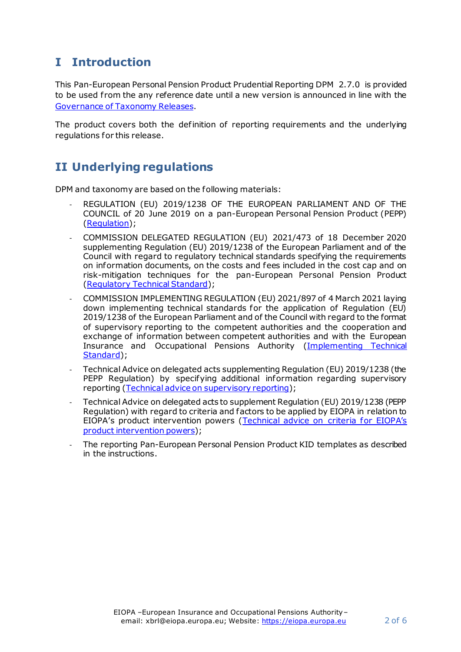# **I Introduction**

This Pan-European Personal Pension Product Prudential Reporting DPM 2.7.0 is provided to be used from the any reference date until a new version is announced in line with the [Governance of Taxonomy Releases](https://dev.eiopa.europa.eu/Taxonomy/Full/2.4.0_PWD/Common/EIOPA_Public_2019_2021_Taxonomy_Governance_and_Schedule.pdf).

The product covers both the definition of reporting requirements and the underlying regulations for this release.

## **II Underlying regulations**

DPM and taxonomy are based on the following materials:

- REGULATION (EU) 2019/1238 OF THE EUROPEAN PARLIAMENT AND OF THE COUNCIL of 20 June 2019 on a pan-European Personal Pension Product (PEPP) [\(Regulation\)](https://eur-lex.europa.eu/legal-content/EN/TXT/PDF/?uri=CELEX:32019R1238&from=EN);
- COMMISSION DELEGATED REGULATION (EU) 2021/473 of 18 December 2020 supplementing Regulation (EU) 2019/1238 of the European Parliament and of the Council with regard to regulatory technical standards specifying the requirements on information documents, on the costs and fees included in the cost cap and on risk-mitigation techniques for the pan-European Personal Pension Product [\(Regulatory Technical Standard](https://eur-lex.europa.eu/legal-content/EN/TXT/PDF/?uri=CELEX:32021R0473&from=EN));
- COMMISSION IMPLEMENTING REGULATION (EU) 2021/897 of 4 March 2021 laying down implementing technical standards for the application of Regulation (EU) 2019/1238 of the European Parliament and of the Council with regard to the format of supervisory reporting to the competent authorities and the cooperation and exchange of information between competent authorities and with the European Insurance and Occupational Pensions Authority [\(Implementing Technical](https://eur-lex.europa.eu/legal-content/EN/TXT/PDF/?uri=CELEX:32021R0897&from=EN)  [Standard](https://eur-lex.europa.eu/legal-content/EN/TXT/PDF/?uri=CELEX:32021R0897&from=EN));
- Technical Advice on delegated acts supplementing Regulation (EU) 2019/1238 (the PEPP Regulation) by specifying additional information regarding supervisory reporting [\(Technical advice on supervisory reporting](https://www.eiopa.europa.eu/sites/default/files/publications/eiopa-20-502_pepp_advice_supervisory_reporting.pdf));
- Technical Advice on delegated acts to supplement Regulation (EU) 2019/1238 (PEPP Regulation) with regard to criteria and factors to be applied by EIOPA in relation to EIOPA's product intervention powers ([Technical advice on criteria for EIOP](https://www.eiopa.europa.eu/sites/default/files/publications/eiopa-20-503_pepp_advice_eiopa_product_intervention_powers.pdf)A's [product intervention powers](https://www.eiopa.europa.eu/sites/default/files/publications/eiopa-20-503_pepp_advice_eiopa_product_intervention_powers.pdf));
- The reporting Pan-European Personal Pension Product KID templates as described in the instructions.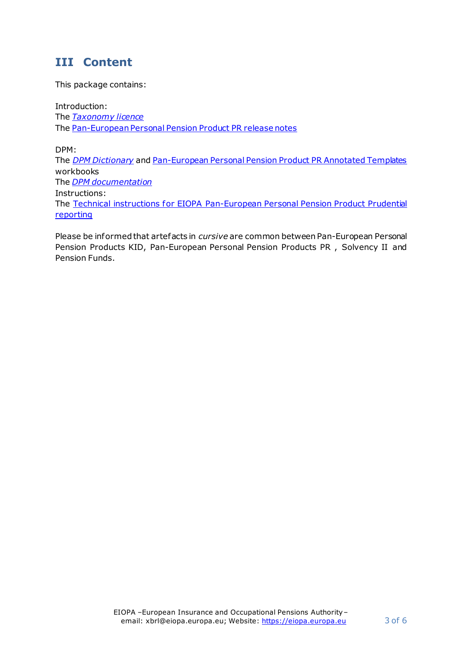#### **III Content**

This package contains:

Introduction: The *[Taxonomy licence](https://dev.eiopa.europa.eu/Taxonomy/Full/2.4.0/common/EIOPA_DPM_and_Taxonomy_License.pdf)* The Pan-European Personal Pension Product PR release notes

DPM: The *[DPM Dictionary](https://dev.eiopa.europa.eu/Taxonomy/Full/2.7.0_PWD1/Common/EIOPA_DPM_Dictionary_2.7.0_PWD1.xlsx)* an[d Pan-European Personal Pension Product PR](https://dev.eiopa.europa.eu/Taxonomy/Full/2.7.0_PWD1/PEPP/EIOPA_PEPP_PR_DPM_Annotated_Templates_2.7.0_PWD1.xlsx) Annotated Templates workbooks The *[DPM documentation](https://dev.eiopa.europa.eu/Taxonomy/Full/2.7.0_PWD1/Common/EIOPA_DPM_Documentation_2.7.0_PWD1.pdf)* Instructions:

The [Technical instructions for EIOPA Pan-European Personal Pension Product Prudential](https://eur-lex.europa.eu/legal-content/EN/TXT/PDF/?uri=CELEX:32021R0897&from=EN) [reporting](https://eur-lex.europa.eu/legal-content/EN/TXT/PDF/?uri=CELEX:32021R0897&from=EN)

Please be informed that artefacts in *cursive* are common between Pan-European Personal Pension Products KID, Pan-European Personal Pension Products PR , Solvency II and Pension Funds.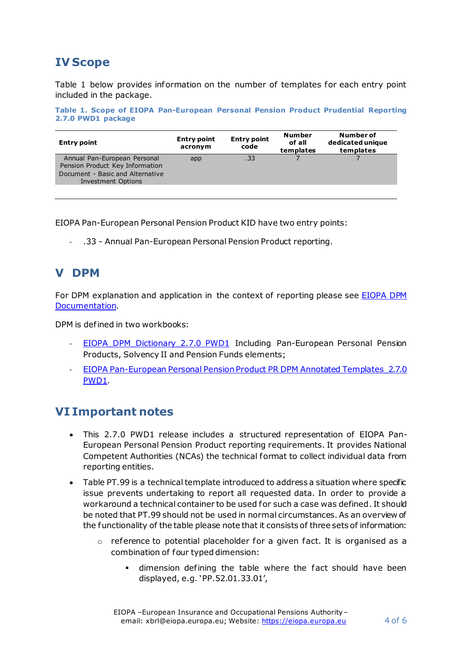# **IV Scope**

[Table 1](#page-3-0) below provides information on the number of templates for each entry point included in the package.

<span id="page-3-0"></span>**Table 1. Scope of EIOPA Pan-European Personal Pension Product Prudential Reporting 2.7.0 PWD1 package**

| <b>Entry point</b>                                                                                                               | <b>Entry point</b><br>acronym | <b>Entry point</b><br>code | <b>Number</b><br>of all<br>templates | Number of<br>dedicated unique<br>templates |
|----------------------------------------------------------------------------------------------------------------------------------|-------------------------------|----------------------------|--------------------------------------|--------------------------------------------|
| Annual Pan-European Personal<br>Pension Product Key Information<br>Document - Basic and Alternative<br><b>Investment Options</b> | app                           | .33                        |                                      |                                            |

EIOPA Pan-European Personal Pension Product KID have two entry points:

- .33 - Annual Pan-European Personal Pension Product reporting.

#### **V DPM**

For DPM explanation and application in the context of reporting please see [EIOPA DPM](https://dev.eiopa.europa.eu/Taxonomy/Full/2.7.0_PWD1/Common/EIOPA_DPM_Documentation_2.7.0_PWD1.pdf)  [Documentation](https://dev.eiopa.europa.eu/Taxonomy/Full/2.7.0_PWD1/Common/EIOPA_DPM_Documentation_2.7.0_PWD1.pdf).

DPM is defined in two workbooks:

- [EIOPA\\_DPM\\_Dictionary\\_2.7.0](https://dev.eiopa.europa.eu/Taxonomy/Full/2.7.0_PWD1/Common/EIOPA_DPM_Dictionary_2.7.0_PWD1.xlsx) PWD1\_Including Pan-European Personal Pension Products, Solvency II and Pension Funds elements;
- EIOPA Pan-European Personal Pension Product PR DPM Annotated Templates 2.7.0 [PWD1.](https://dev.eiopa.europa.eu/Taxonomy/Full/2.7.0_PWD1/PEPP/EIOPA_PEPP_PR_DPM_Annotated_Templates_2.7.0_PWD1.xlsx)

#### **VI Important notes**

- This 2.7.0 PWD1 release includes a structured representation of EIOPA Pan-European Personal Pension Product reporting requirements. It provides National Competent Authorities (NCAs) the technical format to collect individual data from reporting entities.
- Table PT.99 is a technical template introduced to address a situation where specific issue prevents undertaking to report all requested data. In order to provide a workaround a technical container to be used for such a case was defined. It should be noted that PT.99 should not be used in normal circumstances. As an overview of the functionality of the table please note that it consists of three sets of information:
	- $\circ$  reference to potential placeholder for a given fact. It is organised as a combination of four typed dimension:
		- dimension defining the table where the fact should have been displayed, e.g. 'PP.52.01.33.01',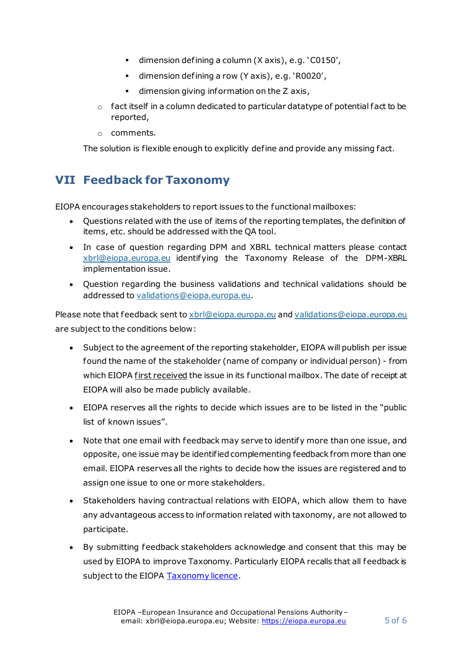- dimension defining a column (X axis), e.g. 'C0150',
- dimension defining a row (Y axis), e.g. 'R0020',
- **•** dimension giving information on the Z axis,
- $\circ$  fact itself in a column dedicated to particular datatype of potential fact to be reported,
- o comments.

The solution is flexible enough to explicitly define and provide any missing fact.

### **VII Feedback for Taxonomy**

EIOPA encourages stakeholders to report issues to the functional mailboxes:

- Questions related with the use of items of the reporting templates, the definition of items, etc. should be addressed with the QA tool.
- In case of question regarding DPM and XBRL technical matters please contact [xbrl@eiopa.europa.eu](mailto:xbrl@eiopa.europa.eu) identifying the Taxonomy Release of the DPM-XBRL implementation issue.
- Question regarding the business validations and technical validations should be addressed to [validations@eiopa.europa.eu](mailto:validations@eiopa.europa.eu).

Please note that feedback sent t[o xbrl@eiopa.europa.eu](mailto:xbrl@eiopa.europa.eu) and [validations@eiopa.europa.eu](mailto:validations@eiopa.europa.eu) are subject to the conditions below:

- Subject to the agreement of the reporting stakeholder, EIOPA will publish per issue found the name of the stakeholder (name of company or individual person) - from which EIOPA first received the issue in its functional mailbox. The date of receipt at EIOPA will also be made publicly available.
- EIOPA reserves all the rights to decide which issues are to be listed in the "public list of known issues".
- Note that one email with feedback may serve to identify more than one issue, and opposite, one issue may be identified complementing feedback from more than one email. EIOPA reserves all the rights to decide how the issues are registered and to assign one issue to one or more stakeholders.
- Stakeholders having contractual relations with EIOPA, which allow them to have any advantageous access to information related with taxonomy, are not allowed to participate.
- By submitting feedback stakeholders acknowledge and consent that this may be used by EIOPA to improve Taxonomy. Particularly EIOPA recalls that all feedback is subject to the EIOPA [Taxonomy licence](https://dev.eiopa.europa.eu/Taxonomy/Full/2.4.0/common/EIOPA_DPM_and_Taxonomy_License.pdf).